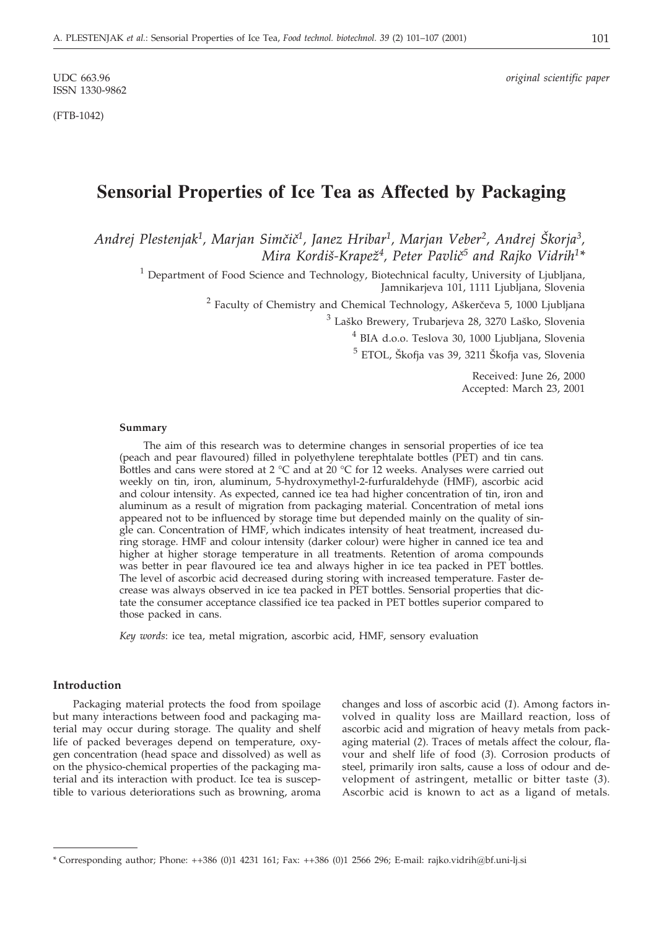ISSN 1330-9862

(FTB-1042)

UDC 663.96 *original scientific paper*

# **Sensorial Properties of Ice Tea as Affected by Packaging**

*Andrej Plestenjak1, Marjan Sim~i~1, Janez Hribar1, Marjan Veber2, Andrej [korja3, Mira Kordi{-Krape`4, Peter Pavli~5 and Rajko Vidrih1\**

<sup>1</sup> Department of Food Science and Technology, Biotechnical faculty, University of Ljubljana, Jamnikarjeva 101, 1111 Ljubljana, Slovenia

 $2$  Faculty of Chemistry and Chemical Technology, Aškerčeva 5, 1000 Ljubljana

 $^3$  Laško Brewery, Trubarjeva 28, 3270 Laško, Slovenia

<sup>4</sup> BIA d.o.o. Teslova 30, 1000 Ljubljana, Slovenia

 $<sup>5</sup>$  ETOL, Škofja vas 39, 3211 Škofja vas, Slovenia</sup>

Received: June 26, 2000 Accepted: March 23, 2001

## **Summary**

The aim of this research was to determine changes in sensorial properties of ice tea (peach and pear flavoured) filled in polyethylene terephtalate bottles (PET) and tin cans. Bottles and cans were stored at 2  $^{\circ}$ C and at 20  $^{\circ}$ C for 12 weeks. Analyses were carried out weekly on tin, iron, aluminum, 5-hydroxymethyl-2-furfuraldehyde (HMF), ascorbic acid and colour intensity. As expected, canned ice tea had higher concentration of tin, iron and aluminum as a result of migration from packaging material. Concentration of metal ions appeared not to be influenced by storage time but depended mainly on the quality of single can. Concentration of HMF, which indicates intensity of heat treatment, increased during storage. HMF and colour intensity (darker colour) were higher in canned ice tea and higher at higher storage temperature in all treatments. Retention of aroma compounds was better in pear flavoured ice tea and always higher in ice tea packed in PET bottles. The level of ascorbic acid decreased during storing with increased temperature. Faster decrease was always observed in ice tea packed in PET bottles. Sensorial properties that dictate the consumer acceptance classified ice tea packed in PET bottles superior compared to those packed in cans.

*Key words*: ice tea, metal migration, ascorbic acid, HMF, sensory evaluation

## **Introduction**

Packaging material protects the food from spoilage but many interactions between food and packaging material may occur during storage. The quality and shelf life of packed beverages depend on temperature, oxygen concentration (head space and dissolved) as well as on the physico-chemical properties of the packaging material and its interaction with product. Ice tea is susceptible to various deteriorations such as browning, aroma

changes and loss of ascorbic acid (*1*). Among factors involved in quality loss are Maillard reaction, loss of ascorbic acid and migration of heavy metals from packaging material (*2*). Traces of metals affect the colour, flavour and shelf life of food (*3*). Corrosion products of steel, primarily iron salts, cause a loss of odour and development of astringent, metallic or bitter taste (*3*). Ascorbic acid is known to act as a ligand of metals.

<sup>\*</sup> Corresponding author; Phone: ++386 (0)1 4231 161; Fax: ++386 (0)1 2566 296; E-mail: rajko.vidrih*@*bf.uni-lj.si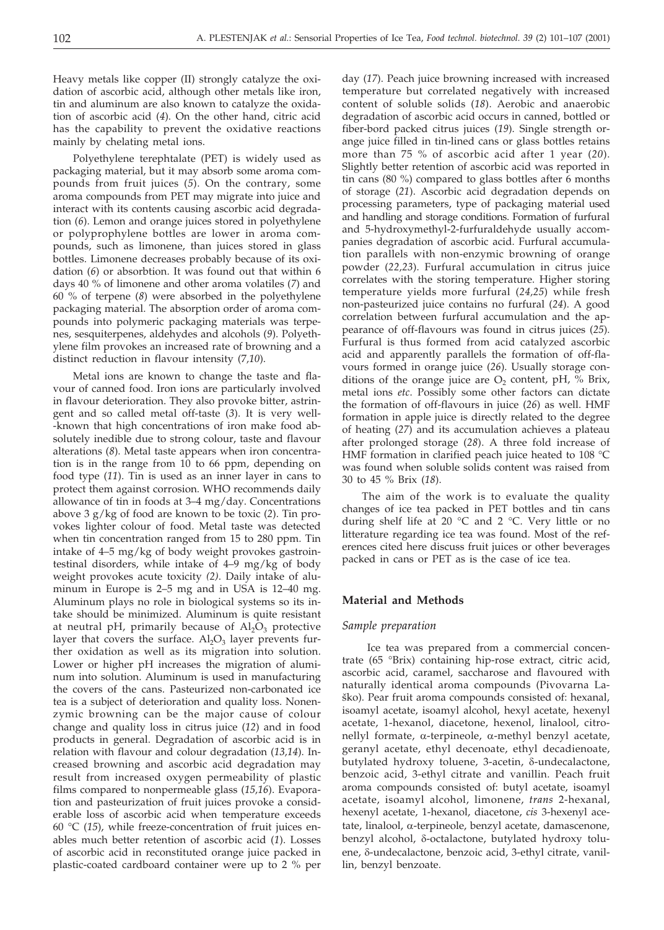Heavy metals like copper (II) strongly catalyze the oxidation of ascorbic acid, although other metals like iron, tin and aluminum are also known to catalyze the oxidation of ascorbic acid (*4*). On the other hand, citric acid has the capability to prevent the oxidative reactions mainly by chelating metal ions.

Polyethylene terephtalate (PET) is widely used as packaging material, but it may absorb some aroma compounds from fruit juices (*5*). On the contrary, some aroma compounds from PET may migrate into juice and interact with its contents causing ascorbic acid degradation (*6*). Lemon and orange juices stored in polyethylene or polyprophylene bottles are lower in aroma compounds, such as limonene, than juices stored in glass bottles. Limonene decreases probably because of its oxidation (*6*) or absorbtion. It was found out that within 6 days 40 % of limonene and other aroma volatiles (*7*) and 60 % of terpene (*8*) were absorbed in the polyethylene packaging material. The absorption order of aroma compounds into polymeric packaging materials was terpenes, sesquiterpenes, aldehydes and alcohols (*9*). Polyethylene film provokes an increased rate of browning and a distinct reduction in flavour intensity (7*,10*).

Metal ions are known to change the taste and flavour of canned food. Iron ions are particularly involved in flavour deterioration. They also provoke bitter, astringent and so called metal off-taste (*3*). It is very well- -known that high concentrations of iron make food absolutely inedible due to strong colour, taste and flavour alterations (*8*). Metal taste appears when iron concentration is in the range from 10 to 66 ppm, depending on food type (*11*). Tin is used as an inner layer in cans to protect them against corrosion. WHO recommends daily allowance of tin in foods at 3–4 mg/day. Concentrations above 3 g/kg of food are known to be toxic (*2*). Tin provokes lighter colour of food. Metal taste was detected when tin concentration ranged from 15 to 280 ppm. Tin intake of 4–5 mg/kg of body weight provokes gastrointestinal disorders, while intake of 4–9 mg/kg of body weight provokes acute toxicity *(2)*. Daily intake of aluminum in Europe is 2–5 mg and in USA is 12–40 mg. Aluminum plays no role in biological systems so its intake should be minimized. Aluminum is quite resistant at neutral pH, primarily because of  $Al_2O_3$  protective layer that covers the surface.  $Al_2O_3$  layer prevents further oxidation as well as its migration into solution. Lower or higher pH increases the migration of aluminum into solution. Aluminum is used in manufacturing the covers of the cans. Pasteurized non-carbonated ice tea is a subject of deterioration and quality loss. Nonenzymic browning can be the major cause of colour change and quality loss in citrus juice (*12*) and in food products in general. Degradation of ascorbic acid is in relation with flavour and colour degradation (*13,14*). Increased browning and ascorbic acid degradation may result from increased oxygen permeability of plastic films compared to nonpermeable glass (*15,16*). Evaporation and pasteurization of fruit juices provoke a considerable loss of ascorbic acid when temperature exceeds 60 °C (*15*), while freeze-concentration of fruit juices enables much better retention of ascorbic acid (*1*). Losses of ascorbic acid in reconstituted orange juice packed in plastic-coated cardboard container were up to 2 % per

day (*17*). Peach juice browning increased with increased temperature but correlated negatively with increased content of soluble solids (*18*). Aerobic and anaerobic degradation of ascorbic acid occurs in canned, bottled or fiber-bord packed citrus juices (*19*). Single strength orange juice filled in tin-lined cans or glass bottles retains more than 75 % of ascorbic acid after 1 year (*20*). Slightly better retention of ascorbic acid was reported in tin cans (80 %) compared to glass bottles after 6 months of storage (*21*). Ascorbic acid degradation depends on processing parameters, type of packaging material used and handling and storage conditions. Formation of furfural and 5-hydroxymethyl-2-furfuraldehyde usually accompanies degradation of ascorbic acid. Furfural accumulation parallels with non-enzymic browning of orange powder (*22,23*). Furfural accumulation in citrus juice correlates with the storing temperature. Higher storing temperature yields more furfural (*24,25*) while fresh non-pasteurized juice contains no furfural (*24*). A good correlation between furfural accumulation and the appearance of off-flavours was found in citrus juices (*25*). Furfural is thus formed from acid catalyzed ascorbic acid and apparently parallels the formation of off-flavours formed in orange juice (*26*). Usually storage conditions of the orange juice are  $O_2$  content, pH, % Brix, metal ions *etc*. Possibly some other factors can dictate the formation of off-flavours in juice (*26*) as well. HMF formation in apple juice is directly related to the degree of heating (*27*) and its accumulation achieves a plateau after prolonged storage (*28*). A three fold increase of HMF formation in clarified peach juice heated to 108 °C was found when soluble solids content was raised from 30 to 45 % Brix (*18*).

The aim of the work is to evaluate the quality changes of ice tea packed in PET bottles and tin cans during shelf life at 20 °C and 2 °C. Very little or no litterature regarding ice tea was found. Most of the references cited here discuss fruit juices or other beverages packed in cans or PET as is the case of ice tea.

#### **Material and Methods**

## *Sample preparation*

Ice tea was prepared from a commercial concentrate (65 °Brix) containing hip-rose extract, citric acid, ascorbic acid, caramel, saccharose and flavoured with naturally identical aroma compounds (Pivovarna La ško). Pear fruit aroma compounds consisted of: hexanal, isoamyl acetate, isoamyl alcohol, hexyl acetate, hexenyl acetate, 1-hexanol, diacetone, hexenol, linalool, citronellyl formate,  $\alpha$ -terpineole,  $\alpha$ -methyl benzyl acetate, geranyl acetate, ethyl decenoate, ethyl decadienoate, butylated hydroxy toluene, 3-acetin, δ-undecalactone, benzoic acid, 3-ethyl citrate and vanillin. Peach fruit aroma compounds consisted of: butyl acetate, isoamyl acetate, isoamyl alcohol, limonene, *trans* 2-hexanal, hexenyl acetate, 1-hexanol, diacetone, *cis* 3-hexenyl ace $t$ ate, linalool,  $\alpha$ -terpineole, benzyl acetate, damascenone, benzyl alcohol, δ-octalactone, butylated hydroxy toluene,  $\delta$ -undecalactone, benzoic acid, 3-ethyl citrate, vanillin, benzyl benzoate.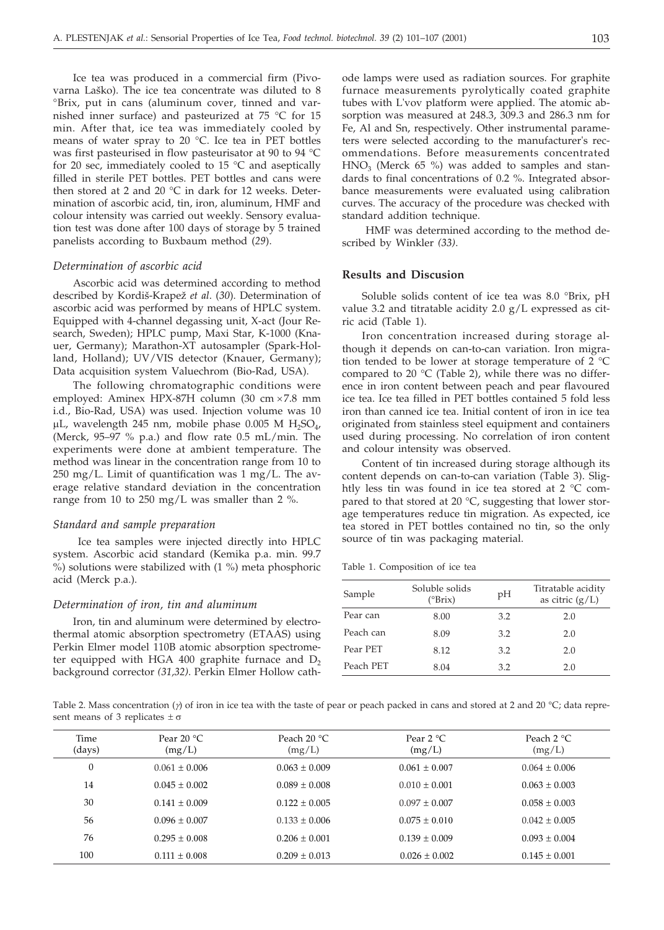Ice tea was produced in a commercial firm (Pivovarna Laško). The ice tea concentrate was diluted to 8 °Brix, put in cans (aluminum cover, tinned and varnished inner surface) and pasteurized at 75 °C for 15 min. After that, ice tea was immediately cooled by means of water spray to 20 °C. Ice tea in PET bottles was first pasteurised in flow pasteurisator at 90 to 94 °C for 20 sec, immediately cooled to 15 °C and aseptically filled in sterile PET bottles. PET bottles and cans were then stored at 2 and 20 °C in dark for 12 weeks. Determination of ascorbic acid, tin, iron, aluminum, HMF and colour intensity was carried out weekly. Sensory evaluation test was done after 100 days of storage by 5 trained panelists according to Buxbaum method (*29*).

#### *Determination of ascorbic acid*

Ascorbic acid was determined according to method described by Kordiš-Krapež et al. (30). Determination of ascorbic acid was performed by means of HPLC system. Equipped with 4-channel degassing unit, X-act (Jour Research, Sweden); HPLC pump, Maxi Star, K-1000 (Knauer, Germany); Marathon-XT autosampler (Spark-Holland, Holland); UV/VIS detector (Knauer, Germany); Data acquisition system Valuechrom (Bio-Rad, USA).

The following chromatographic conditions were employed: Aminex HPX-87H column (30 cm  $\times$  7.8 mm i.d., Bio-Rad, USA) was used. Injection volume was 10  $\mu$ L, wavelength 245 nm, mobile phase 0.005 M H<sub>2</sub>SO<sub>4</sub>, (Merck, 95–97 % p.a.) and flow rate 0.5 mL/min. The experiments were done at ambient temperature. The method was linear in the concentration range from 10 to 250 mg/L. Limit of quantification was 1 mg/L. The average relative standard deviation in the concentration range from 10 to 250 mg/L was smaller than 2 %.

#### *Standard and sample preparation*

Ice tea samples were injected directly into HPLC system. Ascorbic acid standard (Kemika p.a. min. 99.7 %) solutions were stabilized with (1 %) meta phosphoric acid (Merck p.a.).

## *Determination of iron, tin and aluminum*

Iron, tin and aluminum were determined by electrothermal atomic absorption spectrometry (ETAAS) using Perkin Elmer model 110B atomic absorption spectrometer equipped with HGA 400 graphite furnace and  $D<sub>2</sub>$ background corrector *(31,32)*. Perkin Elmer Hollow cathode lamps were used as radiation sources. For graphite furnace measurements pyrolytically coated graphite tubes with L'vov platform were applied. The atomic absorption was measured at 248.3, 309.3 and 286.3 nm for Fe, Al and Sn, respectively. Other instrumental parameters were selected according to the manufacturer's recommendations. Before measurements concentrated  $HNO<sub>3</sub>$  (Merck 65 %) was added to samples and standards to final concentrations of 0.2 %. Integrated absorbance measurements were evaluated using calibration curves. The accuracy of the procedure was checked with standard addition technique.

HMF was determined according to the method described by Winkler *(33)*.

## **Results and Discusion**

Soluble solids content of ice tea was 8.0 °Brix, pH value 3.2 and titratable acidity 2.0 g/L expressed as citric acid (Table 1).

Iron concentration increased during storage although it depends on can-to-can variation. Iron migration tended to be lower at storage temperature of 2 °C compared to 20  $^{\circ}$ C (Table 2), while there was no difference in iron content between peach and pear flavoured ice tea. Ice tea filled in PET bottles contained 5 fold less iron than canned ice tea. Initial content of iron in ice tea originated from stainless steel equipment and containers used during processing. No correlation of iron content and colour intensity was observed.

Content of tin increased during storage although its content depends on can-to-can variation (Table 3). Slightly less tin was found in ice tea stored at 2 °C compared to that stored at 20 °C, suggesting that lower storage temperatures reduce tin migration. As expected, ice tea stored in PET bottles contained no tin, so the only source of tin was packaging material.

Table 1. Composition of ice tea

| Sample    | Soluble solids<br>$(^{\circ}Brix)$ | pH  | Titratable acidity<br>as citric $(g/L)$ |
|-----------|------------------------------------|-----|-----------------------------------------|
| Pear can  | 8.00                               | 3.2 | 2.0                                     |
| Peach can | 8.09                               | 3.2 | 2.0                                     |
| Pear PET  | 8.12                               | 3.2 | 2.0                                     |
| Peach PET | 8.04                               | 3.2 | 2.0                                     |

Table 2. Mass concentration ( $\gamma$ ) of iron in ice tea with the taste of pear or peach packed in cans and stored at 2 and 20 °C; data represent means of 3 replicates  $\pm \sigma$ 

| Time<br>(days) | Pear $20 °C$<br>(mg/L) | Peach $20 °C$<br>(mg/L) | Pear $2 °C$<br>(mg/L) | Peach $2^{\circ}C$<br>(mg/L) |
|----------------|------------------------|-------------------------|-----------------------|------------------------------|
| $\theta$       | $0.061 \pm 0.006$      | $0.063 \pm 0.009$       | $0.061 + 0.007$       | $0.064 + 0.006$              |
| 14             | $0.045 \pm 0.002$      | $0.089 \pm 0.008$       | $0.010 + 0.001$       | $0.063 + 0.003$              |
| 30             | $0.141 + 0.009$        | $0.122 \pm 0.005$       | $0.097 + 0.007$       | $0.058 \pm 0.003$            |
| 56             | $0.096 \pm 0.007$      | $0.133 \pm 0.006$       | $0.075 \pm 0.010$     | $0.042 \pm 0.005$            |
| 76             | $0.295 \pm 0.008$      | $0.206 \pm 0.001$       | $0.139 + 0.009$       | $0.093 \pm 0.004$            |
| 100            | $0.111 + 0.008$        | $0.209 \pm 0.013$       | $0.026 \pm 0.002$     | $0.145 \pm 0.001$            |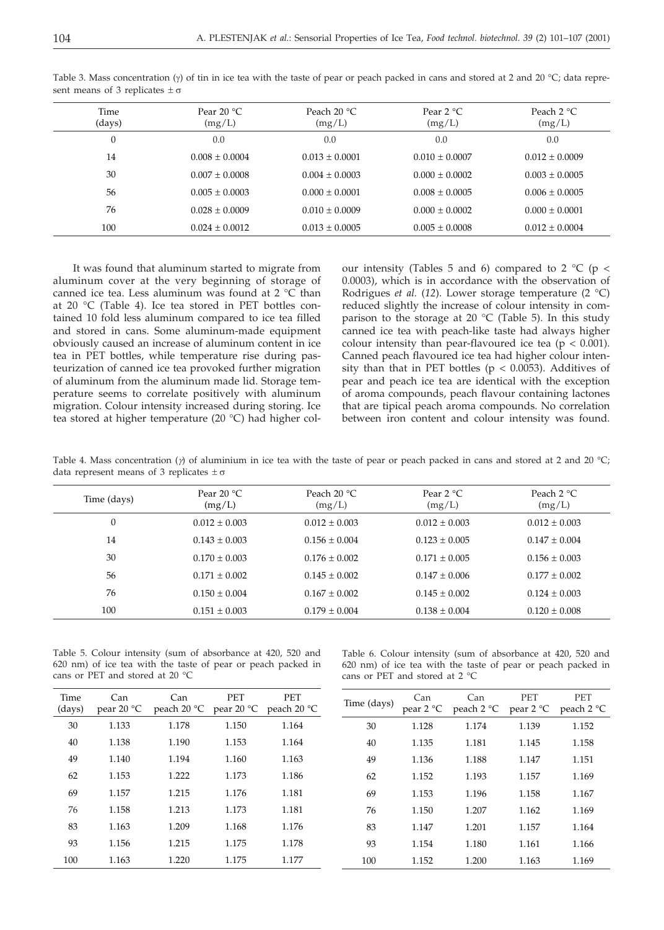| Time<br>(days) | Pear $20 °C$<br>(mg/L) | Peach $20 °C$<br>(mg/L) | Pear $2 °C$<br>(mg/L) | Peach $2^{\circ}C$<br>(mg/L) |
|----------------|------------------------|-------------------------|-----------------------|------------------------------|
| 0              | 0.0                    | 0.0                     | 0.0                   | 0.0                          |
| 14             | $0.008 + 0.0004$       | $0.013 + 0.0001$        | $0.010 + 0.0007$      | $0.012 + 0.0009$             |
| 30             | $0.007 + 0.0008$       | $0.004 \pm 0.0003$      | $0.000 + 0.0002$      | $0.003 + 0.0005$             |
| 56             | $0.005 + 0.0003$       | $0.000 + 0.0001$        | $0.008 + 0.0005$      | $0.006 \pm 0.0005$           |
| 76             | $0.028 + 0.0009$       | $0.010 + 0.0009$        | $0.000 + 0.0002$      | $0.000 + 0.0001$             |
| 100            | $0.024 + 0.0012$       | $0.013 + 0.0005$        | $0.005 + 0.0008$      | $0.012 + 0.0004$             |
|                |                        |                         |                       |                              |

Table 3. Mass concentration ( $\gamma$ ) of tin in ice tea with the taste of pear or peach packed in cans and stored at 2 and 20 °C; data represent means of 3 replicates  $\pm \sigma$ 

It was found that aluminum started to migrate from aluminum cover at the very beginning of storage of canned ice tea. Less aluminum was found at 2 °C than at 20 °C (Table 4). Ice tea stored in PET bottles contained 10 fold less aluminum compared to ice tea filled and stored in cans. Some aluminum-made equipment obviously caused an increase of aluminum content in ice tea in PET bottles, while temperature rise during pasteurization of canned ice tea provoked further migration of aluminum from the aluminum made lid. Storage temperature seems to correlate positively with aluminum migration. Colour intensity increased during storing. Ice tea stored at higher temperature (20 °C) had higher colour intensity (Tables 5 and 6) compared to 2  $^{\circ}$ C (p < 0.0003), which is in accordance with the observation of Rodrigues *et al.* (*12*). Lower storage temperature (2 °C) reduced slightly the increase of colour intensity in comparison to the storage at 20  $^{\circ}$ C (Table 5). In this study canned ice tea with peach-like taste had always higher colour intensity than pear-flavoured ice tea ( $p < 0.001$ ). Canned peach flavoured ice tea had higher colour intensity than that in PET bottles ( $p < 0.0053$ ). Additives of pear and peach ice tea are identical with the exception of aroma compounds, peach flavour containing lactones that are tipical peach aroma compounds. No correlation between iron content and colour intensity was found.

Table 4. Mass concentration ( $\gamma$ ) of aluminium in ice tea with the taste of pear or peach packed in cans and stored at 2 and 20 °C; data represent means of 3 replicates  $\pm \sigma$ 

| Time (days)    | Pear $20 °C$<br>(mg/L) | Peach $20 °C$<br>(mg/L) | Pear $2 \text{ }^{\circ}C$<br>(mg/L) | Peach $2^{\circ}C$<br>(mg/L) |
|----------------|------------------------|-------------------------|--------------------------------------|------------------------------|
| $\overline{0}$ | $0.012 \pm 0.003$      | $0.012 \pm 0.003$       | $0.012 \pm 0.003$                    | $0.012 \pm 0.003$            |
| 14             | $0.143 + 0.003$        | $0.156 \pm 0.004$       | $0.123 \pm 0.005$                    | $0.147 + 0.004$              |
| 30             | $0.170 \pm 0.003$      | $0.176 \pm 0.002$       | $0.171 \pm 0.005$                    | $0.156 \pm 0.003$            |
| 56             | $0.171 \pm 0.002$      | $0.145 \pm 0.002$       | $0.147 \pm 0.006$                    | $0.177 + 0.002$              |
| 76             | $0.150 \pm 0.004$      | $0.167 \pm 0.002$       | $0.145 \pm 0.002$                    | $0.124 \pm 0.003$            |
| 100            | $0.151 \pm 0.003$      | $0.179 \pm 0.004$       | $0.138 \pm 0.004$                    | $0.120 \pm 0.008$            |

Table 5. Colour intensity (sum of absorbance at 420, 520 and 620 nm) of ice tea with the taste of pear or peach packed in cans or PET and stored at 20 °C

Table 6. Colour intensity (sum of absorbance at 420, 520 and 620 nm) of ice tea with the taste of pear or peach packed in cans or PET and stored at 2 °C

| Time<br>(days) | Can<br>pear $20 °C$ | Can<br>peach $20 °C$ | PET<br>pear $20^{\circ}$ C | PET<br>peach $20 °C$ | Time (days) | Can<br>pear 2 °C | Can<br>peach $2^{\circ}C$ | PET<br>pear $2^{\circ}C$ | PET<br>peach $2^{\circ}C$ |
|----------------|---------------------|----------------------|----------------------------|----------------------|-------------|------------------|---------------------------|--------------------------|---------------------------|
| 30             | 1.133               | 1.178                | 1.150                      | 1.164                | 30          | 1.128            | 1.174                     | 1.139                    | 1.152                     |
| 40             | 1.138               | 1.190                | 1.153                      | 1.164                | 40          | 1.135            | 1.181                     | 1.145                    | 1.158                     |
| 49             | 1.140               | 1.194                | 1.160                      | 1.163                | 49          | 1.136            | 1.188                     | 1.147                    | 1.151                     |
| 62             | 1.153               | 1.222                | 1.173                      | 1.186                | 62          | 1.152            | 1.193                     | 1.157                    | 1.169                     |
| 69             | 1.157               | 1.215                | 1.176                      | 1.181                | 69          | 1.153            | 1.196                     | 1.158                    | 1.167                     |
| 76             | 1.158               | 1.213                | 1.173                      | 1.181                | 76          | 1.150            | 1.207                     | 1.162                    | 1.169                     |
| 83             | 1.163               | 1.209                | 1.168                      | 1.176                | 83          | 1.147            | 1.201                     | 1.157                    | 1.164                     |
| 93             | 1.156               | 1.215                | 1.175                      | 1.178                | 93          | 1.154            | 1.180                     | 1.161                    | 1.166                     |
| 100            | 1.163               | 1.220                | 1.175                      | 1.177                | 100         | 1.152            | 1.200                     | 1.163                    | 1.169                     |
|                |                     |                      |                            |                      |             |                  |                           |                          |                           |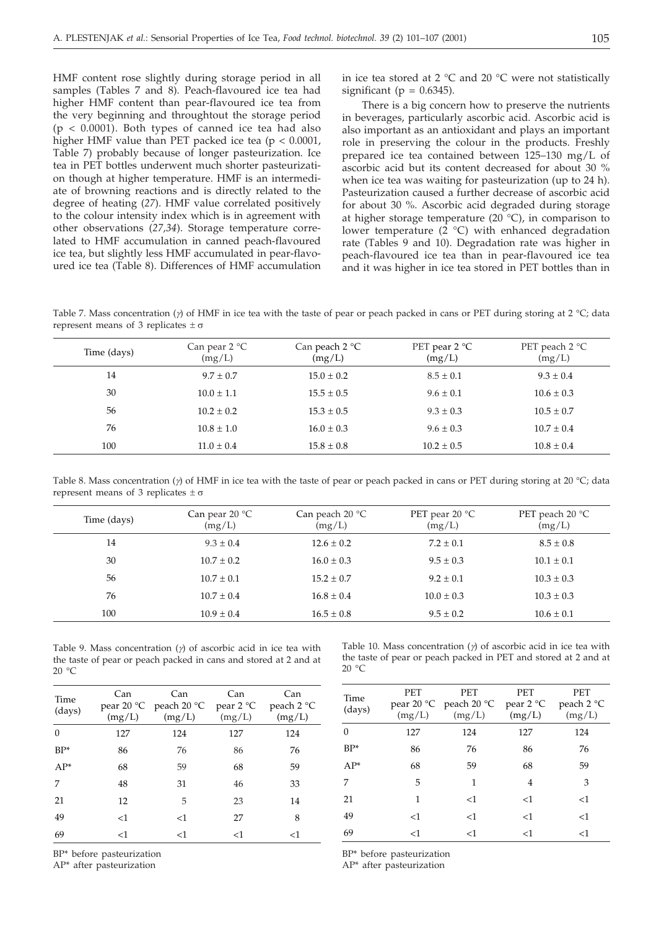HMF content rose slightly during storage period in all samples (Tables 7 and 8). Peach-flavoured ice tea had higher HMF content than pear-flavoured ice tea from the very beginning and throughtout the storage period  $(p < 0.0001)$ . Both types of canned ice tea had also higher HMF value than PET packed ice tea (p < 0.0001, Table 7) probably because of longer pasteurization. Ice tea in PET bottles underwent much shorter pasteurization though at higher temperature. HMF is an intermediate of browning reactions and is directly related to the degree of heating (*27*). HMF value correlated positively to the colour intensity index which is in agreement with other observations (*27,34*). Storage temperature correlated to HMF accumulation in canned peach-flavoured ice tea, but slightly less HMF accumulated in pear-flavoured ice tea (Table 8). Differences of HMF accumulation in ice tea stored at 2 °C and 20 °C were not statistically significant ( $p = 0.6345$ ).

There is a big concern how to preserve the nutrients in beverages, particularly ascorbic acid. Ascorbic acid is also important as an antioxidant and plays an important role in preserving the colour in the products. Freshly prepared ice tea contained between 125–130 mg/L of ascorbic acid but its content decreased for about 30 % when ice tea was waiting for pasteurization (up to 24 h). Pasteurization caused a further decrease of ascorbic acid for about 30 %. Ascorbic acid degraded during storage at higher storage temperature (20 $\degree$ C), in comparison to lower temperature  $(2 \degree C)$  with enhanced degradation rate (Tables 9 and 10). Degradation rate was higher in peach-flavoured ice tea than in pear-flavoured ice tea and it was higher in ice tea stored in PET bottles than in

Table 7. Mass concentration ( $\gamma$ ) of HMF in ice tea with the taste of pear or peach packed in cans or PET during storing at 2 °C; data represent means of 3 replicates  $\pm \sigma$ 

| Time (days) | Can pear $2^{\circ}C$<br>(mg/L) | Can peach $2^{\circ}C$<br>(mg/L) | PET pear $2^{\circ}C$<br>(mg/L) | PET peach $2^{\circ}C$<br>(mg/L) |
|-------------|---------------------------------|----------------------------------|---------------------------------|----------------------------------|
| 14          | $9.7 \pm 0.7$                   | $15.0 \pm 0.2$                   | $8.5 \pm 0.1$                   | $9.3 \pm 0.4$                    |
| 30          | $10.0 \pm 1.1$                  | $15.5 \pm 0.5$                   | $9.6 \pm 0.1$                   | $10.6 \pm 0.3$                   |
| 56          | $10.2 \pm 0.2$                  | $15.3 \pm 0.5$                   | $9.3 \pm 0.3$                   | $10.5 \pm 0.7$                   |
| 76          | $10.8 \pm 1.0$                  | $16.0 \pm 0.3$                   | $9.6 \pm 0.3$                   | $10.7 \pm 0.4$                   |
| 100         | $11.0 \pm 0.4$                  | $15.8 \pm 0.8$                   | $10.2 \pm 0.5$                  | $10.8 \pm 0.4$                   |

Table 8. Mass concentration ( $\gamma$ ) of HMF in ice tea with the taste of pear or peach packed in cans or PET during storing at 20 °C; data represent means of 3 replicates  $\pm \sigma$ 

| Time (days) | Can pear $20 °C$<br>(mg/L) | Can peach $20 °C$<br>(mg/L) | PET pear 20 $\degree$ C<br>(mg/L) | PET peach 20 $\degree$ C<br>(mg/L) |
|-------------|----------------------------|-----------------------------|-----------------------------------|------------------------------------|
| 14          | $9.3 \pm 0.4$              | $12.6 \pm 0.2$              | $7.2 + 0.1$                       | $8.5 \pm 0.8$                      |
| 30          | $10.7 \pm 0.2$             | $16.0 \pm 0.3$              | $9.5 + 0.3$                       | $10.1 \pm 0.1$                     |
| 56          | $10.7 \pm 0.1$             | $15.2 \pm 0.7$              | $9.2 \pm 0.1$                     | $10.3 \pm 0.3$                     |
| 76          | $10.7 \pm 0.4$             | $16.8 \pm 0.4$              | $10.0 \pm 0.3$                    | $10.3 \pm 0.3$                     |
| 100         | $10.9 \pm 0.4$             | $16.5 \pm 0.8$              | $9.5 + 0.2$                       | $10.6 \pm 0.1$                     |
|             |                            |                             |                                   |                                    |

Table 9. Mass concentration  $(y)$  of ascorbic acid in ice tea with the taste of pear or peach packed in cans and stored at 2 and at 20 °C

| Time<br>(days) | Can<br>(mg/L) | Can<br>pear 20 $\degree$ C peach 20 $\degree$ C<br>(mg/L) | Can<br>pear $2^{\circ}C$<br>(mg/L) | Can<br>peach $2^{\circ}C$<br>(mg/L) |
|----------------|---------------|-----------------------------------------------------------|------------------------------------|-------------------------------------|
| $\Omega$       | 127           | 124                                                       | 127                                | 124                                 |
| $BP*$          | 86            | 76                                                        | 86                                 | 76                                  |
| $AP*$          | 68            | 59                                                        | 68                                 | 59                                  |
| 7              | 48            | 31                                                        | 46                                 | 33                                  |
| 21             | 12            | 5                                                         | 23                                 | 14                                  |
| 49             | $<$ 1         | <1                                                        | 27                                 | 8                                   |
| 69             | $<$ 1         | <1                                                        | <1                                 | $<$ 1                               |

BP\* before pasteurization

AP\* after pasteurization

Table 10. Mass concentration  $(y)$  of ascorbic acid in ice tea with the taste of pear or peach packed in PET and stored at 2 and at 20 °C

| Time<br>(days) | PET<br>(mg/L) | PET<br>pear 20 $\degree$ C peach 20 $\degree$ C<br>(mg/L) | PET<br>pear $2^{\circ}C$<br>(mg/L) | <b>PET</b><br>peach 2 °C<br>(mg/L) |
|----------------|---------------|-----------------------------------------------------------|------------------------------------|------------------------------------|
| $\Omega$       | 127           | 124                                                       | 127                                | 124                                |
| $BP*$          | 86            | 76                                                        | 86                                 | 76                                 |
| $AP*$          | 68            | 59                                                        | 68                                 | 59                                 |
| 7              | 5             | 1                                                         | 4                                  | 3                                  |
| 21             | 1             | $<$ 1                                                     | <1                                 | <1                                 |
| 49             | <1            | $<$ 1                                                     | <1                                 | $<$ 1                              |
| 69             | $<$ 1         | <1                                                        | $<$ 1                              | $<$ 1                              |

BP\* before pasteurization

AP\* after pasteurization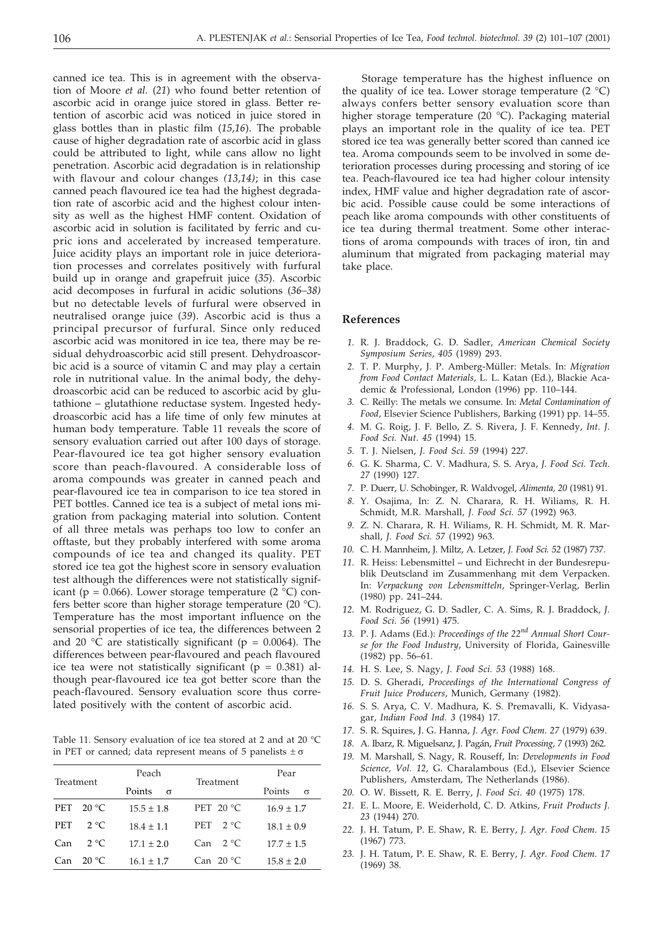canned ice tea. This is in agreement with the observation of Moore *et al.* (*21*) who found better retention of ascorbic acid in orange juice stored in glass. Better retention of ascorbic acid was noticed in juice stored in glass bottles than in plastic film (*15,16*). The probable cause of higher degradation rate of ascorbic acid in glass could be attributed to light, while cans allow no light penetration. Ascorbic acid degradation is in relationship with flavour and colour changes *(13,14)*; in this case canned peach flavoured ice tea had the highest degradation rate of ascorbic acid and the highest colour intensity as well as the highest HMF content. Oxidation of ascorbic acid in solution is facilitated by ferric and cupric ions and accelerated by increased temperature. Juice acidity plays an important role in juice deterioration processes and correlates positively with furfural build up in orange and grapefruit juice (*35*). Ascorbic acid decomposes in furfural in acidic solutions (*36–38)* but no detectable levels of furfural were observed in neutralised orange juice (*39*). Ascorbic acid is thus a principal precursor of furfural. Since only reduced ascorbic acid was monitored in ice tea, there may be residual dehydroascorbic acid still present. Dehydroascorbic acid is a source of vitamin C and may play a certain role in nutritional value. In the animal body, the dehydroascorbic acid can be reduced to ascorbic acid by glutathione – glutathione reductase system. Ingested hedydroascorbic acid has a life time of only few minutes at human body temperature. Table 11 reveals the score of sensory evaluation carried out after 100 days of storage. Pear-flavoured ice tea got higher sensory evaluation score than peach-flavoured. A considerable loss of aroma compounds was greater in canned peach and pear-flavoured ice tea in comparison to ice tea stored in PET bottles. Canned ice tea is a subject of metal ions migration from packaging material into solution. Content of all three metals was perhaps too low to confer an offtaste, but they probably interfered with some aroma compounds of ice tea and changed its quality. PET stored ice tea got the highest score in sensory evaluation test although the differences were not statistically significant (p = 0.066). Lower storage temperature (2  $^{\circ}$ C) confers better score than higher storage temperature (20 °C). Temperature has the most important influence on the sensorial properties of ice tea, the differences between 2 and 20  $\degree$ C are statistically significant (p = 0.0064). The differences between pear-flavoured and peach flavoured ice tea were not statistically significant ( $p = 0.381$ ) although pear-flavoured ice tea got better score than the peach-flavoured. Sensory evaluation score thus correlated positively with the content of ascorbic acid.

Table 11. Sensory evaluation of ice tea stored at 2 and at 20 °C in PET or canned; data represent means of 5 panelists  $\pm \sigma$ 

| Treatment |                | Peach              |                     | Pear               |
|-----------|----------------|--------------------|---------------------|--------------------|
|           |                | Points<br>$\sigma$ | Treatment           | Points<br>$\sigma$ |
| PET       | $20^{\circ}$ C | $15.5 + 1.8$       | PET $20 °C$         | $16.9 \pm 1.7$     |
| PET       | $2^{\circ}C$   | $18.4 \pm 1.1$     | PET<br>$2^{\circ}C$ | $18.1 \pm 0.9$     |
| Can       | $2^{\circ}C$   | $17.1 + 2.0$       | $2^{\circ}C$<br>Can | $17.7 + 1.5$       |
| Can.      | $20^{\circ}$ C | $16.1 \pm 1.7$     | Can $20 °C$         | $15.8 + 2.0$       |

Storage temperature has the highest influence on the quality of ice tea. Lower storage temperature  $(2 \degree C)$ always confers better sensory evaluation score than higher storage temperature (20 °C). Packaging material plays an important role in the quality of ice tea. PET stored ice tea was generally better scored than canned ice tea. Aroma compounds seem to be involved in some deterioration processes during processing and storing of ice tea. Peach-flavoured ice tea had higher colour intensity index, HMF value and higher degradation rate of ascorbic acid. Possible cause could be some interactions of peach like aroma compounds with other constituents of ice tea during thermal treatment. Some other interactions of aroma compounds with traces of iron, tin and aluminum that migrated from packaging material may take place.

## **References**

- *1.* R. J. Braddock, G. D. Sadler, *American Chemical Society Symposium Series*, *405* (1989) 293.
- *2.* T. P. Murphy, J. P. Amberg-Müller: Metals. In: *Migration from Food Contact Materials,* L. L. Katan (Ed.), Blackie Academic & Professional, London (1996) pp. 110–144.
- *3.* C. Reilly: The metals we consume. In: *Metal Contamination of Food*, Elsevier Science Publishers, Barking (1991) pp. 14–55.
- *4.* M. G. Roig, J. F. Bello, Z. S. Rivera, J. F. Kennedy, *Int. J. Food Sci. Nut. 45* (1994) 15.
- *5.* T. J. Nielsen, *J. Food Sci. 59* (1994) 227.
- *6.* G. K. Sharma, C. V. Madhura, S. S. Arya, *J. Food Sci. Tech. 27* (1990) 127.
- *7.* P. Duerr, U. Schobinger, R. Waldvogel, *Alimenta, 20* (1981) 91.
- *8.* Y. Osajima, In: Z. N. Charara, R. H. Wiliams, R. H. Schmidt, M.R. Marshall, *J. Food Sci. 57* (1992) 963.
- *9.* Z. N. Charara, R. H. Wiliams, R. H. Schmidt, M. R. Marshall, *J. Food Sci. 57* (1992) 963.
- *10.* C. H. Mannheim, J. Miltz, A. Letzer, *J. Food Sci. 52* (1987) 737.
- *11.* R. Heiss: Lebensmittel und Eichrecht in der Bundesrepublik Deutscland im Zusammenhang mit dem Verpacken. In: *Verpackung von Lebensmitteln*, Springer-Verlag, Berlin (1980) pp. 241–244.
- *12.* M. Rodriguez, G. D. Sadler, C. A. Sims, R. J. Braddock, *J. Food Sci*. *56* (1991) 475.
- *13.* P. J. Adams (Ed.): *Proceedings of the 22nd Annual Short Course for the Food Industry*, University of Florida, Gainesville (1982) pp. 56–61.
- *14.* H. S. Lee, S. Nagy, *J. Food Sci. 53* (1988) 168.
- *15.* D. S. Gheradi, *Proceedings of the International Congress of Fruit Juice Producers*, Munich, Germany (1982).
- *16.* S. S. Arya, C. V. Madhura, K. S. Premavalli, K. Vidyasagar, *Indian Food Ind. 3* (1984) 17.
- *17.* S. R. Squires, J. G. Hanna, *J. Agr. Food Chem. 27* (1979) 639.
- *18.* A. Ibarz, R. Miguelsanz, J. Pagán, *Fruit Processing, 7* (1993) 262.
- *19.* M. Marshall, S. Nagy, R. Rouseff, In: *Developments in Food Science, Vol. 12,* G. Charalambous (Ed.), Elsevier Science Publishers, Amsterdam, The Netherlands (1986).
- *20.* O. W. Bissett, R. E. Berry, *J. Food Sci. 40* (1975) 178.
- *21.* E. L. Moore, E. Weiderhold, C. D. Atkins, *Fruit Products J. 23* (1944) 270.
- *22.* J. H. Tatum, P. E. Shaw, R. E. Berry, *J. Agr. Food Chem*. *15* (1967) 773.
- *23.* J. H. Tatum, P. E. Shaw, R. E. Berry, *J. Agr. Food Chem*. *17* (1969) 38.